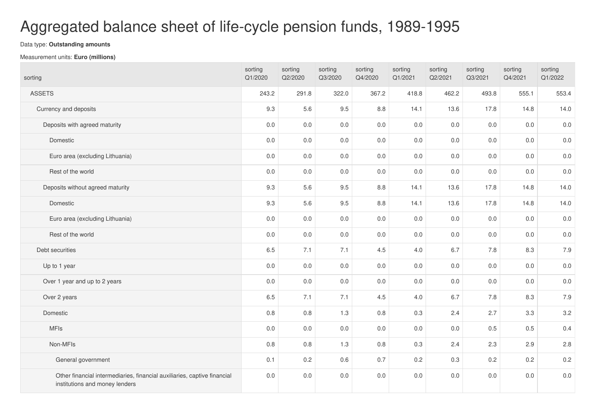## Aggregated balance sheet of life-cycle pension funds, 1989-1995

## Data type: **Outstanding amounts**

## Measurement units: **Euro (millions)**

| sorting                                                                                                    | sorting<br>Q1/2020 | sorting<br>Q2/2020 | sorting<br>Q3/2020 | sorting<br>Q4/2020 | sorting<br>Q1/2021 | sorting<br>Q2/2021 | sorting<br>Q3/2021 | sorting<br>Q4/2021 | sorting<br>Q1/2022 |
|------------------------------------------------------------------------------------------------------------|--------------------|--------------------|--------------------|--------------------|--------------------|--------------------|--------------------|--------------------|--------------------|
| <b>ASSETS</b>                                                                                              | 243.2              | 291.8              | 322.0              | 367.2              | 418.8              | 462.2              | 493.8              | 555.1              | 553.4              |
| Currency and deposits                                                                                      | 9.3                | 5.6                | 9.5                | 8.8                | 14.1               | 13.6               | 17.8               | 14.8               | 14.0               |
| Deposits with agreed maturity                                                                              | $0.0\,$            | 0.0                | 0.0                | $0.0\,$            | 0.0                | 0.0                | 0.0                | 0.0                | $0.0\,$            |
| Domestic                                                                                                   | $0.0\,$            | 0.0                | 0.0                | 0.0                | 0.0                | 0.0                | 0.0                | 0.0                | $0.0\,$            |
| Euro area (excluding Lithuania)                                                                            | 0.0                | 0.0                | 0.0                | 0.0                | 0.0                | 0.0                | 0.0                | 0.0                | $0.0\,$            |
| Rest of the world                                                                                          | 0.0                | 0.0                | 0.0                | 0.0                | 0.0                | $0.0\,$            | 0.0                | 0.0                | 0.0                |
| Deposits without agreed maturity                                                                           | 9.3                | 5.6                | 9.5                | 8.8                | 14.1               | 13.6               | 17.8               | 14.8               | 14.0               |
| Domestic                                                                                                   | 9.3                | 5.6                | 9.5                | 8.8                | 14.1               | 13.6               | 17.8               | 14.8               | 14.0               |
| Euro area (excluding Lithuania)                                                                            | $0.0\,$            | $0.0\,$            | $0.0\,$            | $0.0\,$            | 0.0                | $0.0\,$            | 0.0                | $0.0\,$            | $0.0\,$            |
| Rest of the world                                                                                          | $0.0\,$            | 0.0                | 0.0                | 0.0                | 0.0                | $0.0\,$            | 0.0                | 0.0                | 0.0                |
| Debt securities                                                                                            | 6.5                | 7.1                | 7.1                | 4.5                | 4.0                | 6.7                | 7.8                | 8.3                | 7.9                |
| Up to 1 year                                                                                               | 0.0                | 0.0                | 0.0                | 0.0                | 0.0                | 0.0                | 0.0                | 0.0                | $0.0\,$            |
| Over 1 year and up to 2 years                                                                              | 0.0                | 0.0                | 0.0                | 0.0                | 0.0                | $0.0\,$            | 0.0                | $0.0\,$            | 0.0                |
| Over 2 years                                                                                               | 6.5                | 7.1                | 7.1                | 4.5                | 4.0                | 6.7                | 7.8                | 8.3                | 7.9                |
| Domestic                                                                                                   | $0.8\,$            | 0.8                | 1.3                | 0.8                | 0.3                | 2.4                | 2.7                | 3.3                | 3.2                |
| <b>MFIs</b>                                                                                                | $0.0\,$            | 0.0                | 0.0                | $0.0\,$            | 0.0                | $0.0\,$            | 0.5                | 0.5                | 0.4                |
| Non-MFIs                                                                                                   | $0.8\,$            | 0.8                | 1.3                | 0.8                | 0.3                | 2.4                | 2.3                | 2.9                | 2.8                |
| General government                                                                                         | 0.1                | 0.2                | 0.6                | 0.7                | 0.2                | 0.3                | 0.2                | 0.2                | 0.2                |
| Other financial intermediaries, financial auxiliaries, captive financial<br>institutions and money lenders | 0.0                | 0.0                | 0.0                | 0.0                | 0.0                | 0.0                | 0.0                | 0.0                | $0.0\,$            |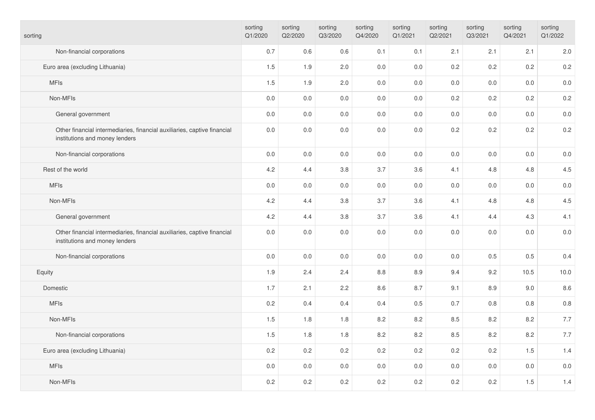| sorting                                                                                                    | sorting<br>Q1/2020 | sorting<br>Q2/2020 | sorting<br>Q3/2020 | sorting<br>Q4/2020 | sorting<br>Q1/2021 | sorting<br>Q2/2021 | sorting<br>Q3/2021 | sorting<br>Q4/2021 | sorting<br>Q1/2022 |
|------------------------------------------------------------------------------------------------------------|--------------------|--------------------|--------------------|--------------------|--------------------|--------------------|--------------------|--------------------|--------------------|
| Non-financial corporations                                                                                 | 0.7                | $0.6\,$            | 0.6                | 0.1                | 0.1                | 2.1                | 2.1                | 2.1                | 2.0                |
| Euro area (excluding Lithuania)                                                                            | 1.5                | 1.9                | 2.0                | 0.0                | 0.0                | 0.2                | 0.2                | 0.2                | 0.2                |
| <b>MFIs</b>                                                                                                | 1.5                | 1.9                | 2.0                | 0.0                | 0.0                | 0.0                | 0.0                | $0.0\,$            | $0.0\,$            |
| Non-MFIs                                                                                                   | $0.0\,$            | $0.0\,$            | $0.0\,$            | 0.0                | 0.0                | 0.2                | 0.2                | 0.2                | 0.2                |
| General government                                                                                         | $0.0\,$            | $0.0\,$            | 0.0                | 0.0                | 0.0                | 0.0                | 0.0                | 0.0                | $0.0\,$            |
| Other financial intermediaries, financial auxiliaries, captive financial<br>institutions and money lenders | $0.0\,$            | $0.0\,$            | $0.0\,$            | 0.0                | $0.0\,$            | 0.2                | 0.2                | 0.2                | 0.2                |
| Non-financial corporations                                                                                 | $0.0\,$            | $0.0\,$            | 0.0                | 0.0                | 0.0                | 0.0                | 0.0                | 0.0                | $0.0\,$            |
| Rest of the world                                                                                          | 4.2                | 4.4                | 3.8                | 3.7                | 3.6                | 4.1                | 4.8                | 4.8                | 4.5                |
| <b>MFIs</b>                                                                                                | 0.0                | $0.0\,$            | 0.0                | 0.0                | 0.0                | 0.0                | 0.0                | $0.0\,$            | $0.0\,$            |
| Non-MFIs                                                                                                   | 4.2                | 4.4                | 3.8                | 3.7                | 3.6                | 4.1                | 4.8                | 4.8                | 4.5                |
| General government                                                                                         | 4.2                | 4.4                | $3.8\,$            | 3.7                | 3.6                | 4.1                | 4.4                | 4.3                | 4.1                |
| Other financial intermediaries, financial auxiliaries, captive financial<br>institutions and money lenders | 0.0                | $0.0\,$            | $0.0\,$            | 0.0                | 0.0                | 0.0                | 0.0                | 0.0                | $0.0\,$            |
| Non-financial corporations                                                                                 | $0.0\,$            | $0.0\,$            | $0.0\,$            | 0.0                | 0.0                | 0.0                | 0.5                | 0.5                | 0.4                |
| Equity                                                                                                     | 1.9                | 2.4                | 2.4                | 8.8                | 8.9                | 9.4                | 9.2                | 10.5               | 10.0               |
| Domestic                                                                                                   | 1.7                | 2.1                | 2.2                | 8.6                | 8.7                | 9.1                | 8.9                | 9.0                | 8.6                |
| <b>MFIs</b>                                                                                                | 0.2                | 0.4                | 0.4                | 0.4                | 0.5                | 0.7                | 0.8                | $0.8\,$            | $0.8\,$            |
| Non-MFIs                                                                                                   | 1.5                | $1.8$              | 1.8                | 8.2                | 8.2                | 8.5                | 8.2                | 8.2                | 7.7                |
| Non-financial corporations                                                                                 | 1.5                | 1.8                | 1.8                | 8.2                | 8.2                | 8.5                | 8.2                | 8.2                | 7.7                |
| Euro area (excluding Lithuania)                                                                            | 0.2                | 0.2                | 0.2                | 0.2                | 0.2                | 0.2                | 0.2                | 1.5                | 1.4                |
| <b>MFIs</b>                                                                                                | $0.0\,$            | $0.0\,$            | $0.0\,$            | $0.0\,$            | 0.0                | $0.0\,$            | 0.0                | 0.0                | $0.0\,$            |
| Non-MFIs                                                                                                   | 0.2                | 0.2                | 0.2                | 0.2                | 0.2                | 0.2                | 0.2                | 1.5                | 1.4                |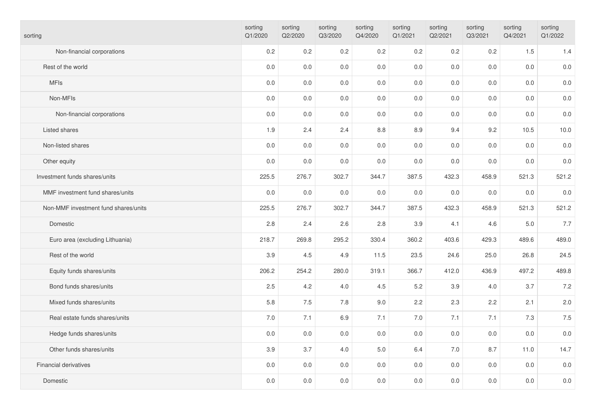| sorting                              | sorting<br>Q1/2020 | sorting<br>Q2/2020 | sorting<br>Q3/2020 | sorting<br>Q4/2020 | sorting<br>Q1/2021 | sorting<br>Q2/2021 | sorting<br>Q3/2021 | sorting<br>Q4/2021 | sorting<br>Q1/2022 |
|--------------------------------------|--------------------|--------------------|--------------------|--------------------|--------------------|--------------------|--------------------|--------------------|--------------------|
| Non-financial corporations           | 0.2                | 0.2                | 0.2                | 0.2                | 0.2                | 0.2                | 0.2                | 1.5                | 1.4                |
| Rest of the world                    | $0.0\,$            | $0.0\,$            | 0.0                | $0.0\,$            | 0.0                | 0.0                | 0.0                | $0.0\,$            | $0.0\,$            |
| <b>MFIs</b>                          | 0.0                | $0.0\,$            | $0.0\,$            | $0.0\,$            | 0.0                | 0.0                | 0.0                | $0.0\,$            | $0.0\,$            |
| Non-MFIs                             | 0.0                | 0.0                | 0.0                | 0.0                | 0.0                | 0.0                | 0.0                | 0.0                | $0.0\,$            |
| Non-financial corporations           | $0.0\,$            | $0.0\,$            | $0.0\,$            | $0.0\,$            | 0.0                | 0.0                | $0.0\,$            | $0.0\,$            | $0.0\,$            |
| Listed shares                        | 1.9                | 2.4                | 2.4                | 8.8                | 8.9                | 9.4                | 9.2                | 10.5               | 10.0               |
| Non-listed shares                    | 0.0                | 0.0                | 0.0                | 0.0                | 0.0                | 0.0                | 0.0                | 0.0                | $0.0\,$            |
| Other equity                         | $0.0\,$            | $0.0\,$            | 0.0                | $0.0\,$            | 0.0                | $0.0\,$            | 0.0                | $0.0\,$            | $0.0\,$            |
| Investment funds shares/units        | 225.5              | 276.7              | 302.7              | 344.7              | 387.5              | 432.3              | 458.9              | 521.3              | 521.2              |
| MMF investment fund shares/units     | 0.0                | 0.0                | 0.0                | $0.0\,$            | 0.0                | 0.0                | 0.0                | $0.0\,$            | $0.0\,$            |
| Non-MMF investment fund shares/units | 225.5              | 276.7              | 302.7              | 344.7              | 387.5              | 432.3              | 458.9              | 521.3              | 521.2              |
| Domestic                             | 2.8                | 2.4                | 2.6                | 2.8                | 3.9                | 4.1                | 4.6                | 5.0                | 7.7                |
| Euro area (excluding Lithuania)      | 218.7              | 269.8              | 295.2              | 330.4              | 360.2              | 403.6              | 429.3              | 489.6              | 489.0              |
| Rest of the world                    | 3.9                | 4.5                | 4.9                | 11.5               | 23.5               | 24.6               | 25.0               | 26.8               | 24.5               |
| Equity funds shares/units            | 206.2              | 254.2              | 280.0              | 319.1              | 366.7              | 412.0              | 436.9              | 497.2              | 489.8              |
| Bond funds shares/units              | 2.5                | 4.2                | 4.0                | 4.5                | 5.2                | 3.9                | 4.0                | 3.7                | 7.2                |
| Mixed funds shares/units             | 5.8                | $7.5\,$            | 7.8                | 9.0                | 2.2                | 2.3                | 2.2                | 2.1                | 2.0                |
| Real estate funds shares/units       | 7.0                | 7.1                | 6.9                | 7.1                | 7.0                | 7.1                | 7.1                | 7.3                | $7.5$              |
| Hedge funds shares/units             | $0.0\,$            | $0.0\,$            | 0.0                | $0.0\,$            | 0.0                | 0.0                | 0.0                | $0.0\,$            | $0.0\,$            |
| Other funds shares/units             | 3.9                | 3.7                | 4.0                | $5.0$              | 6.4                | 7.0                | 8.7                | 11.0               | 14.7               |
| Financial derivatives                | 0.0                | 0.0                | 0.0                | 0.0                | 0.0                | 0.0                | 0.0                | 0.0                | $0.0\,$            |
| Domestic                             | 0.0                | 0.0                | 0.0                | $0.0\,$            | 0.0                | 0.0                | 0.0                | $0.0\,$            | $0.0\,$            |